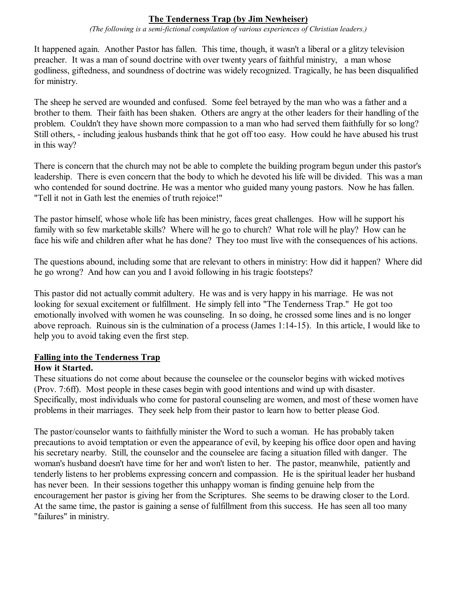# **The Tenderness Trap (by Jim Newheiser)**

*(The following is a semi-fictional compilation of various experiences of Christian leaders.)*

It happened again. Another Pastor has fallen. This time, though, it wasn't a liberal or a glitzy television preacher. It was a man of sound doctrine with over twenty years of faithful ministry, a man whose godliness, giftedness, and soundness of doctrine was widely recognized. Tragically, he has been disqualified for ministry.

The sheep he served are wounded and confused. Some feel betrayed by the man who was a father and a brother to them. Their faith has been shaken. Others are angry at the other leaders for their handling of the problem. Couldn't they have shown more compassion to a man who had served them faithfully for so long? Still others, - including jealous husbands think that he got off too easy. How could he have abused his trust in this way?

There is concern that the church may not be able to complete the building program begun under this pastor's leadership. There is even concern that the body to which he devoted his life will be divided. This was a man who contended for sound doctrine. He was a mentor who guided many young pastors. Now he has fallen. "Tell it not in Gath lest the enemies of truth rejoice!"

The pastor himself, whose whole life has been ministry, faces great challenges. How will he support his family with so few marketable skills? Where will he go to church? What role will he play? How can he face his wife and children after what he has done? They too must live with the consequences of his actions.

The questions abound, including some that are relevant to others in ministry: How did it happen? Where did he go wrong? And how can you and I avoid following in his tragic footsteps?

This pastor did not actually commit adultery. He was and is very happy in his marriage. He was not looking for sexual excitement or fulfillment. He simply fell into "The Tenderness Trap." He got too emotionally involved with women he was counseling. In so doing, he crossed some lines and is no longer above reproach. Ruinous sin is the culmination of a process (James 1:14-15). In this article, I would like to help you to avoid taking even the first step.

# **Falling into the Tenderness Trap**

# **How it Started.**

These situations do not come about because the counselee or the counselor begins with wicked motives (Prov. 7:6ff). Most people in these cases begin with good intentions and wind up with disaster. Specifically, most individuals who come for pastoral counseling are women, and most of these women have problems in their marriages. They seek help from their pastor to learn how to better please God.

The pastor/counselor wants to faithfully minister the Word to such a woman. He has probably taken precautions to avoid temptation or even the appearance of evil, by keeping his office door open and having his secretary nearby. Still, the counselor and the counselee are facing a situation filled with danger. The woman's husband doesn't have time for her and won't listen to her. The pastor, meanwhile, patiently and tenderly listens to her problems expressing concern and compassion. He is the spiritual leader her husband has never been. In their sessions together this unhappy woman is finding genuine help from the encouragement her pastor is giving her from the Scriptures. She seems to be drawing closer to the Lord. At the same time, the pastor is gaining a sense of fulfillment from this success. He has seen all too many "failures" in ministry.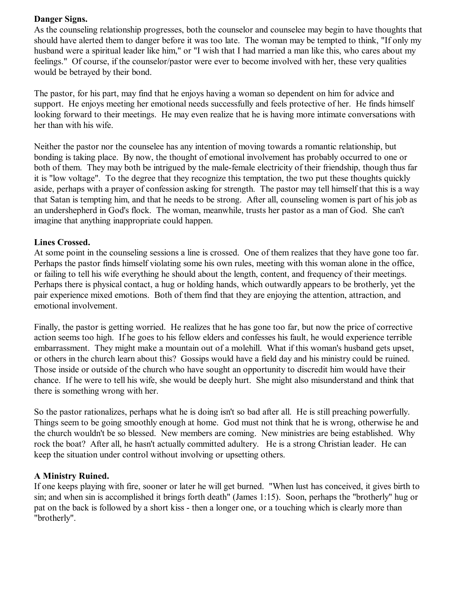### **Danger Signs.**

As the counseling relationship progresses, both the counselor and counselee may begin to have thoughts that should have alerted them to danger before it was too late. The woman may be tempted to think, "If only my husband were a spiritual leader like him," or "I wish that I had married a man like this, who cares about my feelings." Of course, if the counselor/pastor were ever to become involved with her, these very qualities would be betrayed by their bond.

The pastor, for his part, may find that he enjoys having a woman so dependent on him for advice and support. He enjoys meeting her emotional needs successfully and feels protective of her. He finds himself looking forward to their meetings. He may even realize that he is having more intimate conversations with her than with his wife.

Neither the pastor nor the counselee has any intention of moving towards a romantic relationship, but bonding is taking place. By now, the thought of emotional involvement has probably occurred to one or both of them. They may both be intrigued by the male-female electricity of their friendship, though thus far it is "low voltage". To the degree that they recognize this temptation, the two put these thoughts quickly aside, perhaps with a prayer of confession asking for strength. The pastor may tell himself that this is a way that Satan is tempting him, and that he needs to be strong. After all, counseling women is part of his job as an undershepherd in God's flock. The woman, meanwhile, trusts her pastor as a man of God. She can't imagine that anything inappropriate could happen.

#### **Lines Crossed.**

At some point in the counseling sessions a line is crossed. One of them realizes that they have gone too far. Perhaps the pastor finds himself violating some his own rules, meeting with this woman alone in the office, or failing to tell his wife everything he should about the length, content, and frequency of their meetings. Perhaps there is physical contact, a hug or holding hands, which outwardly appears to be brotherly, yet the pair experience mixed emotions. Both of them find that they are enjoying the attention, attraction, and emotional involvement.

Finally, the pastor is getting worried. He realizes that he has gone too far, but now the price of corrective action seems too high. If he goes to his fellow elders and confesses his fault, he would experience terrible embarrassment. They might make a mountain out of a molehill. What if this woman's husband gets upset, or others in the church learn about this? Gossips would have a field day and his ministry could be ruined. Those inside or outside of the church who have sought an opportunity to discredit him would have their chance. If he were to tell his wife, she would be deeply hurt. She might also misunderstand and think that there is something wrong with her.

So the pastor rationalizes, perhaps what he is doing isn't so bad after all. He is still preaching powerfully. Things seem to be going smoothly enough at home. God must not think that he is wrong, otherwise he and the church wouldn't be so blessed. New members are coming. New ministries are being established. Why rock the boat? After all, he hasn't actually committed adultery. He is a strong Christian leader. He can keep the situation under control without involving or upsetting others.

#### **A Ministry Ruined.**

If one keeps playing with fire, sooner or later he will get burned. "When lust has conceived, it gives birth to sin; and when sin is accomplished it brings forth death" (James 1:15). Soon, perhaps the "brotherly" hug or pat on the back is followed by a short kiss - then a longer one, or a touching which is clearly more than "brotherly".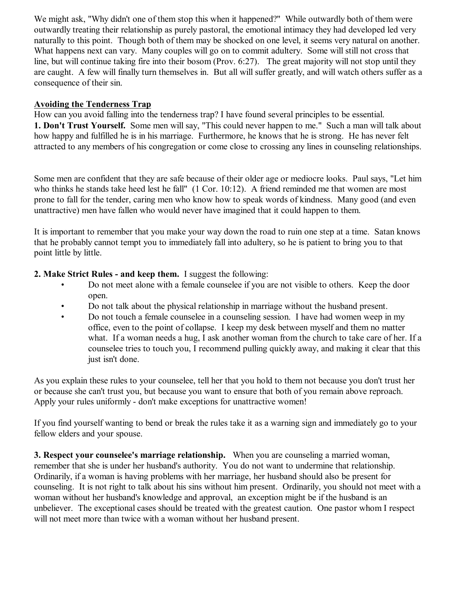We might ask, "Why didn't one of them stop this when it happened?" While outwardly both of them were outwardly treating their relationship as purely pastoral, the emotional intimacy they had developed led very naturally to this point. Though both of them may be shocked on one level, it seems very natural on another. What happens next can vary. Many couples will go on to commit adultery. Some will still not cross that line, but will continue taking fire into their bosom (Prov. 6:27). The great majority will not stop until they are caught. A few will finally turn themselves in. But all will suffer greatly, and will watch others suffer as a consequence of their sin.

## **Avoiding the Tenderness Trap**

How can you avoid falling into the tenderness trap? I have found several principles to be essential. **1. Don't Trust Yourself.** Some men will say, "This could never happen to me." Such a man will talk about how happy and fulfilled he is in his marriage. Furthermore, he knows that he is strong. He has never felt attracted to any members of his congregation or come close to crossing any lines in counseling relationships.

Some men are confident that they are safe because of their older age or mediocre looks. Paul says, "Let him who thinks he stands take heed lest he fall" (1 Cor. 10:12). A friend reminded me that women are most prone to fall for the tender, caring men who know how to speak words of kindness. Many good (and even unattractive) men have fallen who would never have imagined that it could happen to them.

It is important to remember that you make your way down the road to ruin one step at a time. Satan knows that he probably cannot tempt you to immediately fall into adultery, so he is patient to bring you to that point little by little.

# **2. Make Strict Rules - and keep them.** I suggest the following:

- Do not meet alone with a female counselee if you are not visible to others. Keep the door open.
- Do not talk about the physical relationship in marriage without the husband present.
- Do not touch a female counselee in a counseling session. I have had women weep in my office, even to the point of collapse. I keep my desk between myself and them no matter what. If a woman needs a hug, I ask another woman from the church to take care of her. If a counselee tries to touch you, I recommend pulling quickly away, and making it clear that this just isn't done.

As you explain these rules to your counselee, tell her that you hold to them not because you don't trust her or because she can't trust you, but because you want to ensure that both of you remain above reproach. Apply your rules uniformly - don't make exceptions for unattractive women!

If you find yourself wanting to bend or break the rules take it as a warning sign and immediately go to your fellow elders and your spouse.

**3. Respect your counselee's marriage relationship.** When you are counseling a married woman, remember that she is under her husband's authority. You do not want to undermine that relationship. Ordinarily, if a woman is having problems with her marriage, her husband should also be present for counseling. It is not right to talk about his sins without him present. Ordinarily, you should not meet with a woman without her husband's knowledge and approval, an exception might be if the husband is an unbeliever. The exceptional cases should be treated with the greatest caution. One pastor whom I respect will not meet more than twice with a woman without her husband present.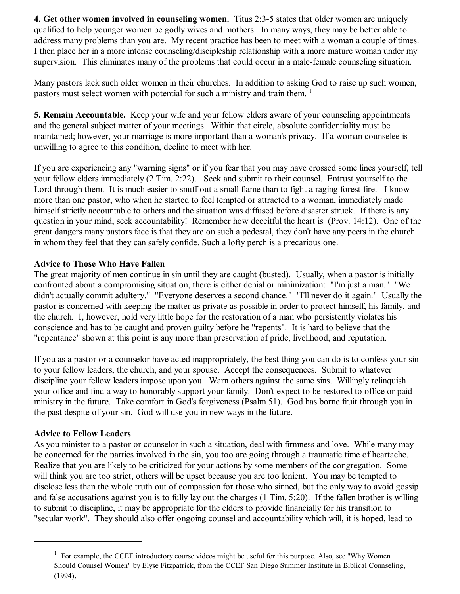**4. Get other women involved in counseling women.** Titus 2:3-5 states that older women are uniquely qualified to help younger women be godly wives and mothers. In many ways, they may be better able to address many problems than you are. My recent practice has been to meet with a woman a couple of times. I then place her in a more intense counseling/discipleship relationship with a more mature woman under my supervision. This eliminates many of the problems that could occur in a male-female counseling situation.

Many pastors lack such older women in their churches. In addition to asking God to raise up such women, pastors must select women with potential for such a ministry and train them.<sup>1</sup>

**5. Remain Accountable.** Keep your wife and your fellow elders aware of your counseling appointments and the general subject matter of your meetings. Within that circle, absolute confidentiality must be maintained; however, your marriage is more important than a woman's privacy. If a woman counselee is unwilling to agree to this condition, decline to meet with her.

If you are experiencing any "warning signs" or if you fear that you may have crossed some lines yourself, tell your fellow elders immediately (2 Tim. 2:22). Seek and submit to their counsel. Entrust yourself to the Lord through them. It is much easier to snuff out a small flame than to fight a raging forest fire. I know more than one pastor, who when he started to feel tempted or attracted to a woman, immediately made himself strictly accountable to others and the situation was diffused before disaster struck. If there is any question in your mind, seek accountability! Remember how deceitful the heart is (Prov. 14:12). One of the great dangers many pastors face is that they are on such a pedestal, they don't have any peers in the church in whom they feel that they can safely confide. Such a lofty perch is a precarious one.

# **Advice to Those Who Have Fallen**

The great majority of men continue in sin until they are caught (busted). Usually, when a pastor is initially confronted about a compromising situation, there is either denial or minimization: "I'm just a man." "We didn't actually commit adultery." "Everyone deserves a second chance." "I'll never do it again." Usually the pastor is concerned with keeping the matter as private as possible in order to protect himself, his family, and the church. I, however, hold very little hope for the restoration of a man who persistently violates his conscience and has to be caught and proven guilty before he "repents". It is hard to believe that the "repentance" shown at this point is any more than preservation of pride, livelihood, and reputation.

If you as a pastor or a counselor have acted inappropriately, the best thing you can do is to confess your sin to your fellow leaders, the church, and your spouse. Accept the consequences. Submit to whatever discipline your fellow leaders impose upon you. Warn others against the same sins. Willingly relinquish your office and find a way to honorably support your family. Don't expect to be restored to office or paid ministry in the future. Take comfort in God's forgiveness (Psalm 51). God has borne fruit through you in the past despite of your sin. God will use you in new ways in the future.

### **Advice to Fellow Leaders**

As you minister to a pastor or counselor in such a situation, deal with firmness and love. While many may be concerned for the parties involved in the sin, you too are going through a traumatic time of heartache. Realize that you are likely to be criticized for your actions by some members of the congregation. Some will think you are too strict, others will be upset because you are too lenient. You may be tempted to disclose less than the whole truth out of compassion for those who sinned, but the only way to avoid gossip and false accusations against you is to fully lay out the charges (1 Tim. 5:20). If the fallen brother is willing to submit to discipline, it may be appropriate for the elders to provide financially for his transition to "secular work". They should also offer ongoing counsel and accountability which will, it is hoped, lead to

<sup>&</sup>lt;sup>1</sup> For example, the CCEF introductory course videos might be useful for this purpose. Also, see "Why Women Should Counsel Women" by Elyse Fitzpatrick, from the CCEF San Diego Summer Institute in Biblical Counseling, (1994).